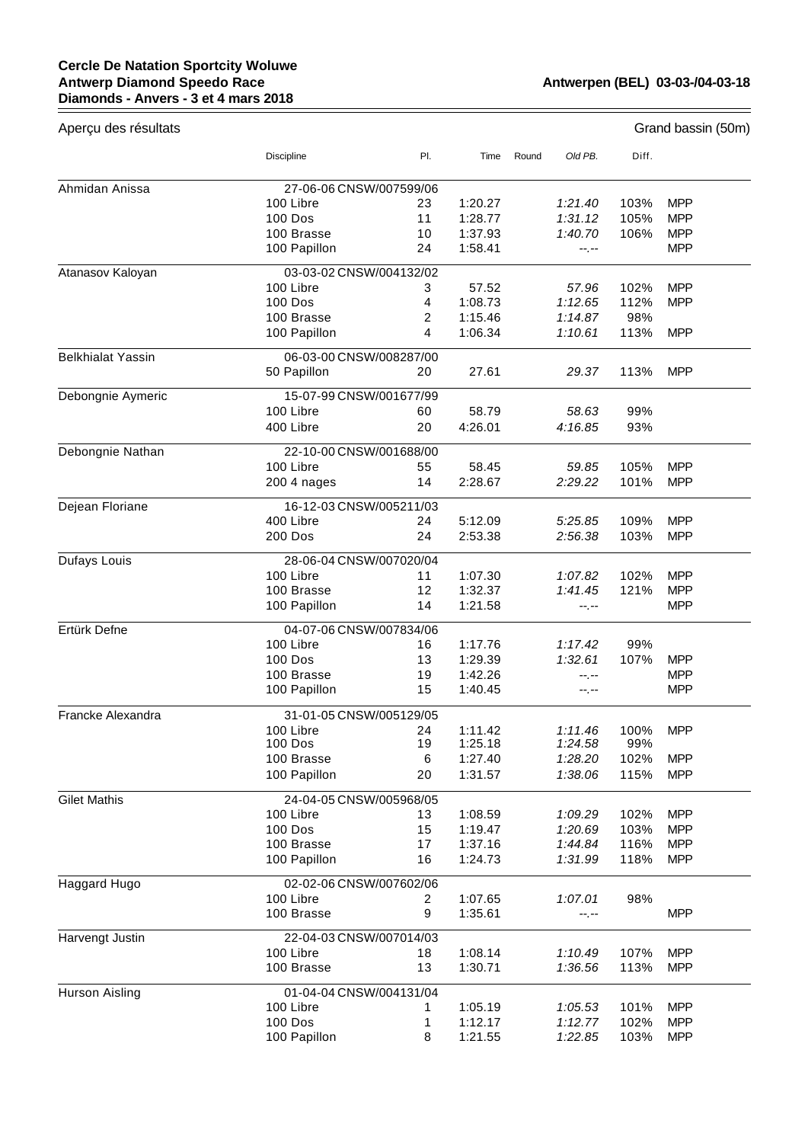## **Cercle De Natation Sportcity Woluwe Antwerp Diamond Speedo Race Diamonds - Anvers - 3 et 4 mars 2018**

 $=$ 

| Aperçu des résultats     |                         |     |         |       |           |       | Grand bassin (50m) |
|--------------------------|-------------------------|-----|---------|-------|-----------|-------|--------------------|
|                          | Discipline              | PI. | Time    | Round | Old PB.   | Diff. |                    |
| Ahmidan Anissa           | 27-06-06 CNSW/007599/06 |     |         |       |           |       |                    |
|                          | 100 Libre               | 23  | 1:20.27 |       | 1:21.40   | 103%  | <b>MPP</b>         |
|                          | <b>100 Dos</b>          | 11  | 1:28.77 |       | 1:31.12   | 105%  | <b>MPP</b>         |
|                          | 100 Brasse              | 10  | 1:37.93 |       | 1:40.70   | 106%  | <b>MPP</b>         |
|                          | 100 Papillon            | 24  | 1:58.41 |       | $-1, -1$  |       | <b>MPP</b>         |
| Atanasov Kaloyan         | 03-03-02 CNSW/004132/02 |     |         |       |           |       |                    |
|                          | 100 Libre               | 3   | 57.52   |       | 57.96     | 102%  | <b>MPP</b>         |
|                          | <b>100 Dos</b>          | 4   | 1:08.73 |       | 1:12.65   | 112%  | <b>MPP</b>         |
|                          | 100 Brasse              | 2   | 1:15.46 |       | 1:14.87   | 98%   |                    |
|                          | 100 Papillon            | 4   | 1:06.34 |       | 1:10.61   | 113%  | <b>MPP</b>         |
| <b>Belkhialat Yassin</b> | 06-03-00 CNSW/008287/00 |     |         |       |           |       |                    |
|                          | 50 Papillon             | 20  | 27.61   |       | 29.37     | 113%  | <b>MPP</b>         |
| Debongnie Aymeric        | 15-07-99 CNSW/001677/99 |     |         |       |           |       |                    |
|                          | 100 Libre               | 60  | 58.79   |       | 58.63     | 99%   |                    |
|                          | 400 Libre               | 20  | 4:26.01 |       | 4:16.85   | 93%   |                    |
| Debongnie Nathan         | 22-10-00 CNSW/001688/00 |     |         |       |           |       |                    |
|                          | 100 Libre               | 55  | 58.45   |       | 59.85     | 105%  | <b>MPP</b>         |
|                          | 200 4 nages             | 14  | 2:28.67 |       | 2:29.22   | 101%  | <b>MPP</b>         |
| Dejean Floriane          | 16-12-03 CNSW/005211/03 |     |         |       |           |       |                    |
|                          | 400 Libre               | 24  | 5:12.09 |       | 5:25.85   | 109%  | <b>MPP</b>         |
|                          | 200 Dos                 | 24  | 2:53.38 |       | 2:56.38   | 103%  | <b>MPP</b>         |
| Dufays Louis             | 28-06-04 CNSW/007020/04 |     |         |       |           |       |                    |
|                          | 100 Libre               | 11  | 1:07.30 |       | 1:07.82   | 102%  | <b>MPP</b>         |
|                          | 100 Brasse              | 12  | 1:32.37 |       | 1:41.45   | 121%  | <b>MPP</b>         |
|                          | 100 Papillon            | 14  | 1:21.58 |       | $-1. - -$ |       | <b>MPP</b>         |
| Ertürk Defne             | 04-07-06 CNSW/007834/06 |     |         |       |           |       |                    |
|                          | 100 Libre               | 16  | 1:17.76 |       | 1:17.42   | 99%   |                    |
|                          | <b>100 Dos</b>          | 13  | 1:29.39 |       | 1:32.61   | 107%  | <b>MPP</b>         |
|                          | 100 Brasse              | 19  | 1:42.26 |       | $-1. - -$ |       | <b>MPP</b>         |
|                          | 100 Papillon            | 15  | 1:40.45 |       | --.--     |       | <b>MPP</b>         |
| Francke Alexandra        | 31-01-05 CNSW/005129/05 |     |         |       |           |       |                    |
|                          | 100 Libre               | 24  | 1:11.42 |       | 1:11.46   | 100%  | <b>MPP</b>         |
|                          | 100 Dos                 | 19  | 1:25.18 |       | 1:24.58   | 99%   |                    |
|                          | 100 Brasse              | 6   | 1:27.40 |       | 1:28.20   | 102%  | <b>MPP</b>         |
|                          | 100 Papillon            | 20  | 1:31.57 |       | 1:38.06   | 115%  | <b>MPP</b>         |
| <b>Gilet Mathis</b>      | 24-04-05 CNSW/005968/05 |     |         |       |           |       |                    |
|                          | 100 Libre               | 13  | 1:08.59 |       | 1:09.29   | 102%  | <b>MPP</b>         |
|                          | 100 Dos                 | 15  | 1:19.47 |       | 1:20.69   | 103%  | <b>MPP</b>         |
|                          | 100 Brasse              | 17  | 1:37.16 |       | 1:44.84   | 116%  | <b>MPP</b>         |
|                          | 100 Papillon            | 16  | 1:24.73 |       | 1:31.99   | 118%  | <b>MPP</b>         |
| Haggard Hugo             | 02-02-06 CNSW/007602/06 |     |         |       |           |       |                    |
|                          | 100 Libre               | 2   | 1:07.65 |       | 1:07.01   | 98%   |                    |
|                          | 100 Brasse              | 9   | 1:35.61 |       | $-1, -1$  |       | <b>MPP</b>         |
| Harvengt Justin          | 22-04-03 CNSW/007014/03 |     |         |       |           |       |                    |
|                          | 100 Libre               | 18  | 1:08.14 |       | 1:10.49   | 107%  | <b>MPP</b>         |
|                          | 100 Brasse              | 13  | 1:30.71 |       | 1:36.56   | 113%  | <b>MPP</b>         |
| Hurson Aisling           | 01-04-04 CNSW/004131/04 |     |         |       |           |       |                    |
|                          | 100 Libre               | 1   | 1:05.19 |       | 1:05.53   | 101%  | <b>MPP</b>         |
|                          | 100 Dos                 | 1   | 1:12.17 |       | 1:12.77   | 102%  | <b>MPP</b>         |
|                          | 100 Papillon            | 8   | 1:21.55 |       | 1:22.85   | 103%  | <b>MPP</b>         |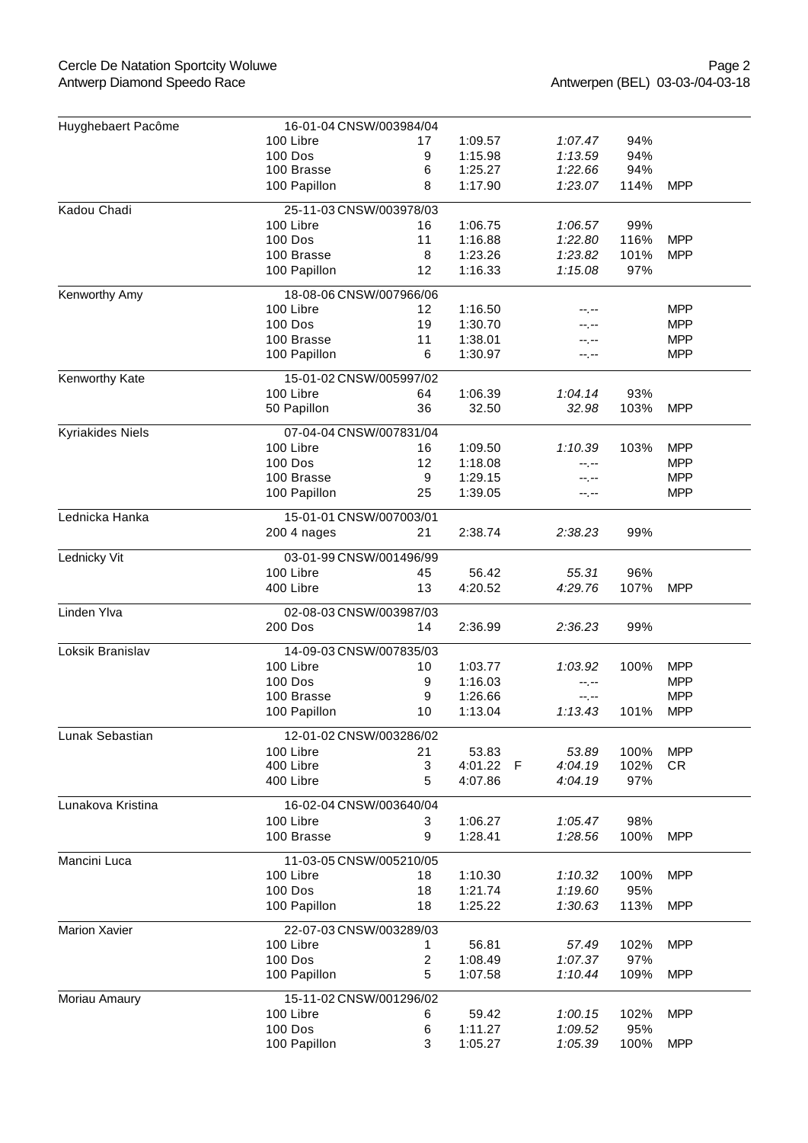| Huyghebaert Pacôme | 16-01-04 CNSW/003984/04 |         |         |                     |      |            |
|--------------------|-------------------------|---------|---------|---------------------|------|------------|
|                    | 100 Libre               | 17      | 1:09.57 | 1:07.47             | 94%  |            |
|                    | <b>100 Dos</b>          | 9       | 1:15.98 | 1:13.59             | 94%  |            |
|                    | 100 Brasse              | 6       | 1:25.27 | 1:22.66             | 94%  |            |
|                    | 100 Papillon            | 8       | 1:17.90 | 1:23.07             | 114% | <b>MPP</b> |
| Kadou Chadi        | 25-11-03 CNSW/003978/03 |         |         |                     |      |            |
|                    | 100 Libre               | 16      | 1:06.75 | 1:06.57             | 99%  |            |
|                    | <b>100 Dos</b>          | 11      | 1:16.88 | 1:22.80             | 116% | <b>MPP</b> |
|                    | 100 Brasse              | 8       | 1:23.26 | 1:23.82             | 101% | <b>MPP</b> |
|                    | 100 Papillon            | 12      | 1:16.33 | 1:15.08             | 97%  |            |
| Kenworthy Amy      | 18-08-06 CNSW/007966/06 |         |         |                     |      |            |
|                    | 100 Libre               | 12      | 1:16.50 |                     |      | <b>MPP</b> |
|                    | <b>100 Dos</b>          | 19      | 1:30.70 | --.--               |      | <b>MPP</b> |
|                    | 100 Brasse              | 11      | 1:38.01 | --.--               |      | <b>MPP</b> |
|                    | 100 Papillon            | 6       | 1:30.97 | --.--               |      | <b>MPP</b> |
| Kenworthy Kate     | 15-01-02 CNSW/005997/02 |         |         |                     |      |            |
|                    | 100 Libre               | 64      | 1:06.39 | 1:04.14             | 93%  |            |
|                    | 50 Papillon             | 36      | 32.50   | 32.98               | 103% | <b>MPP</b> |
|                    |                         |         |         |                     |      |            |
| Kyriakides Niels   | 07-04-04 CNSW/007831/04 |         |         |                     |      |            |
|                    | 100 Libre               | 16      | 1:09.50 | 1:10.39             | 103% | <b>MPP</b> |
|                    | <b>100 Dos</b>          | 12      | 1:18.08 | --.--               |      | <b>MPP</b> |
|                    | 100 Brasse              | 9       | 1:29.15 | --.--               |      | <b>MPP</b> |
|                    | 100 Papillon            | 25      | 1:39.05 | --.--               |      | <b>MPP</b> |
| Lednicka Hanka     | 15-01-01 CNSW/007003/01 |         |         |                     |      |            |
|                    | 200 4 nages             | 21      | 2:38.74 | 2:38.23             | 99%  |            |
| Lednicky Vit       | 03-01-99 CNSW/001496/99 |         |         |                     |      |            |
|                    | 100 Libre               | 45      | 56.42   | 55.31               | 96%  |            |
|                    | 400 Libre               | 13      | 4:20.52 | 4:29.76             | 107% | <b>MPP</b> |
| Linden Ylva        | 02-08-03 CNSW/003987/03 |         |         |                     |      |            |
|                    | <b>200 Dos</b>          | 14      | 2:36.99 | 2:36.23             | 99%  |            |
| Loksik Branislav   | 14-09-03 CNSW/007835/03 |         |         |                     |      |            |
|                    | 100 Libre               | 10      | 1:03.77 | 1:03.92             | 100% | <b>MPP</b> |
|                    | <b>100 Dos</b>          | 9       | 1:16.03 |                     |      | <b>MPP</b> |
|                    | 100 Brasse              |         | 1:26.66 | --.--               |      | <b>MPP</b> |
|                    | 100 Papillon            | 9<br>10 | 1:13.04 | $-1, -1$<br>1:13.43 | 101% | <b>MPP</b> |
|                    |                         |         |         |                     |      |            |
| Lunak Sebastian    | 12-01-02 CNSW/003286/02 |         |         |                     |      |            |
|                    | 100 Libre               | 21      | 53.83   | 53.89               | 100% | <b>MPP</b> |
|                    | 400 Libre               | 3       | 4:01.22 | 4:04.19<br>F        | 102% | <b>CR</b>  |
|                    | 400 Libre               | 5       | 4:07.86 | 4:04.19             | 97%  |            |
| Lunakova Kristina  | 16-02-04 CNSW/003640/04 |         |         |                     |      |            |
|                    | 100 Libre               | 3       | 1:06.27 | 1:05.47             | 98%  |            |
|                    | 100 Brasse              | 9       | 1:28.41 | 1:28.56             | 100% | <b>MPP</b> |
| Mancini Luca       | 11-03-05 CNSW/005210/05 |         |         |                     |      |            |
|                    | 100 Libre               | 18      | 1:10.30 | 1:10.32             | 100% | <b>MPP</b> |
|                    | <b>100 Dos</b>          | 18      | 1:21.74 | 1:19.60             | 95%  |            |
|                    | 100 Papillon            | 18      | 1:25.22 | 1:30.63             | 113% | <b>MPP</b> |
| Marion Xavier      | 22-07-03 CNSW/003289/03 |         |         |                     |      |            |
|                    | 100 Libre               | 1.      | 56.81   | 57.49               | 102% | <b>MPP</b> |
|                    | <b>100 Dos</b>          | 2       | 1:08.49 | 1:07.37             | 97%  |            |
|                    | 100 Papillon            | 5       | 1:07.58 | 1:10.44             | 109% | <b>MPP</b> |
| Moriau Amaury      | 15-11-02 CNSW/001296/02 |         |         |                     |      |            |
|                    | 100 Libre               | 6       | 59.42   | 1:00.15             | 102% | <b>MPP</b> |
|                    | 100 Dos                 | 6       | 1:11.27 | 1:09.52             | 95%  |            |
|                    | 100 Papillon            | 3       | 1:05.27 | 1:05.39             | 100% | <b>MPP</b> |
|                    |                         |         |         |                     |      |            |